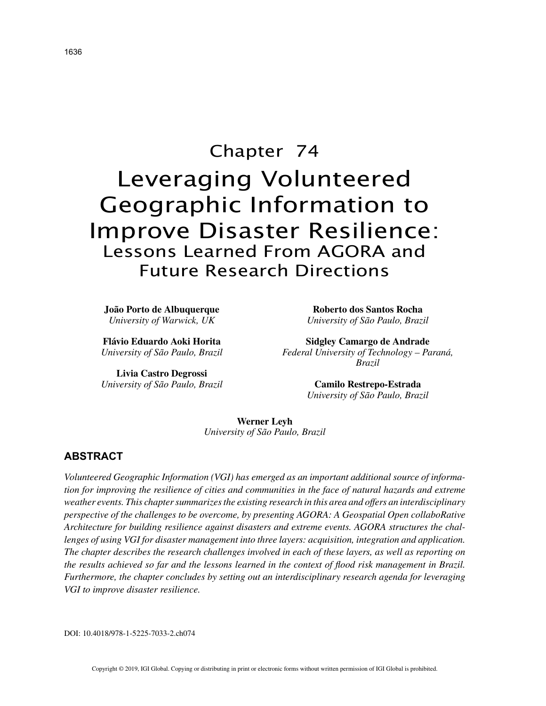# Chapter 74 Leveraging Volunteered Geographic Information to Improve Disaster Resilience: Lessons Learned From AGORA and Future Research Directions

**João Porto de Albuquerque** *University of Warwick, UK*

**Roberto dos Santos Rocha** *University of São Paulo, Brazil*

**Flávio Eduardo Aoki Horita** *University of São Paulo, Brazil*

**Livia Castro Degrossi** *University of São Paulo, Brazil*

**Sidgley Camargo de Andrade** *Federal University of Technology – Paraná, Brazil*

> **Camilo Restrepo-Estrada** *University of São Paulo, Brazil*

**Werner Leyh** *University of São Paulo, Brazil*

# **ABSTRACT**

*Volunteered Geographic Information (VGI) has emerged as an important additional source of information for improving the resilience of cities and communities in the face of natural hazards and extreme weather events. This chapter summarizes the existing research in this area and offers an interdisciplinary perspective of the challenges to be overcome, by presenting AGORA: A Geospatial Open collaboRative Architecture for building resilience against disasters and extreme events. AGORA structures the challenges of using VGI for disaster management into three layers: acquisition, integration and application. The chapter describes the research challenges involved in each of these layers, as well as reporting on the results achieved so far and the lessons learned in the context of flood risk management in Brazil. Furthermore, the chapter concludes by setting out an interdisciplinary research agenda for leveraging VGI to improve disaster resilience.*

DOI: 10.4018/978-1-5225-7033-2.ch074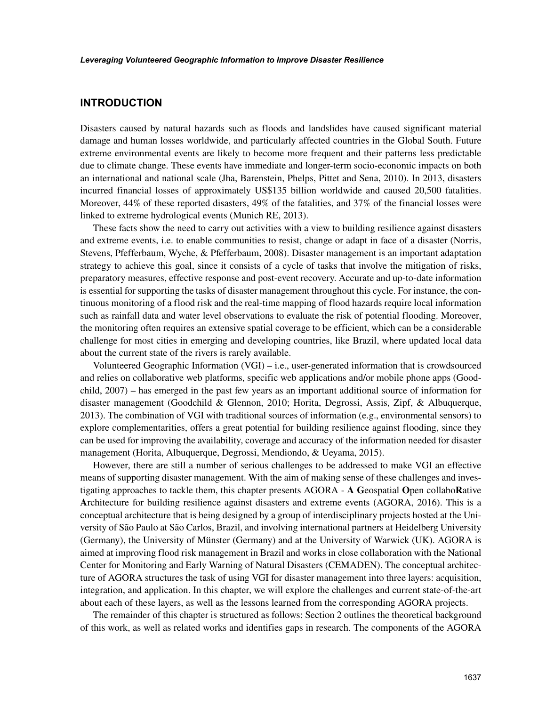## **INTRODUCTION**

Disasters caused by natural hazards such as floods and landslides have caused significant material damage and human losses worldwide, and particularly affected countries in the Global South. Future extreme environmental events are likely to become more frequent and their patterns less predictable due to climate change. These events have immediate and longer-term socio-economic impacts on both an international and national scale (Jha, Barenstein, Phelps, Pittet and Sena, 2010). In 2013, disasters incurred financial losses of approximately US\$135 billion worldwide and caused 20,500 fatalities. Moreover, 44% of these reported disasters, 49% of the fatalities, and 37% of the financial losses were linked to extreme hydrological events (Munich RE, 2013).

These facts show the need to carry out activities with a view to building resilience against disasters and extreme events, i.e. to enable communities to resist, change or adapt in face of a disaster (Norris, Stevens, Pfefferbaum, Wyche, & Pfefferbaum, 2008). Disaster management is an important adaptation strategy to achieve this goal, since it consists of a cycle of tasks that involve the mitigation of risks, preparatory measures, effective response and post-event recovery. Accurate and up-to-date information is essential for supporting the tasks of disaster management throughout this cycle. For instance, the continuous monitoring of a flood risk and the real-time mapping of flood hazards require local information such as rainfall data and water level observations to evaluate the risk of potential flooding. Moreover, the monitoring often requires an extensive spatial coverage to be efficient, which can be a considerable challenge for most cities in emerging and developing countries, like Brazil, where updated local data about the current state of the rivers is rarely available.

Volunteered Geographic Information  $(VGI) - i.e.,$  user-generated information that is crowdsourced and relies on collaborative web platforms, specific web applications and/or mobile phone apps (Goodchild, 2007) – has emerged in the past few years as an important additional source of information for disaster management (Goodchild & Glennon, 2010; Horita, Degrossi, Assis, Zipf, & Albuquerque, 2013). The combination of VGI with traditional sources of information (e.g., environmental sensors) to explore complementarities, offers a great potential for building resilience against flooding, since they can be used for improving the availability, coverage and accuracy of the information needed for disaster management (Horita, Albuquerque, Degrossi, Mendiondo, & Ueyama, 2015).

However, there are still a number of serious challenges to be addressed to make VGI an effective means of supporting disaster management. With the aim of making sense of these challenges and investigating approaches to tackle them, this chapter presents AGORA - **A G**eospatial **O**pen collabo**R**ative **A**rchitecture for building resilience against disasters and extreme events (AGORA, 2016). This is a conceptual architecture that is being designed by a group of interdisciplinary projects hosted at the University of São Paulo at São Carlos, Brazil, and involving international partners at Heidelberg University (Germany), the University of Münster (Germany) and at the University of Warwick (UK). AGORA is aimed at improving flood risk management in Brazil and works in close collaboration with the National Center for Monitoring and Early Warning of Natural Disasters (CEMADEN). The conceptual architecture of AGORA structures the task of using VGI for disaster management into three layers: acquisition, integration, and application. In this chapter, we will explore the challenges and current state-of-the-art about each of these layers, as well as the lessons learned from the corresponding AGORA projects.

The remainder of this chapter is structured as follows: Section 2 outlines the theoretical background of this work, as well as related works and identifies gaps in research. The components of the AGORA